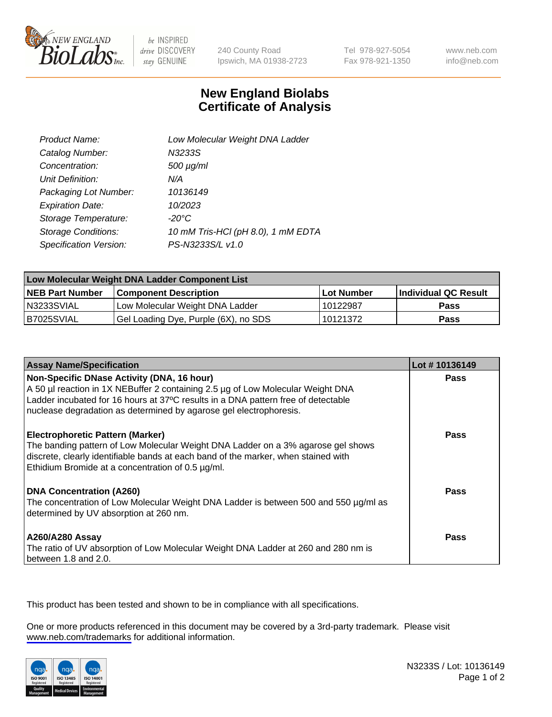

be INSPIRED drive DISCOVERY stay GENUINE

240 County Road Ipswich, MA 01938-2723 Tel 978-927-5054 Fax 978-921-1350

www.neb.com info@neb.com

## **New England Biolabs Certificate of Analysis**

| Product Name:              | Low Molecular Weight DNA Ladder    |
|----------------------------|------------------------------------|
| Catalog Number:            | N3233S                             |
| Concentration:             | 500 µg/ml                          |
| Unit Definition:           | N/A                                |
| Packaging Lot Number:      | 10136149                           |
| <b>Expiration Date:</b>    | 10/2023                            |
| Storage Temperature:       | $-20^{\circ}$ C                    |
| <b>Storage Conditions:</b> | 10 mM Tris-HCl (pH 8.0), 1 mM EDTA |
| Specification Version:     | PS-N3233S/L v1.0                   |

| Low Molecular Weight DNA Ladder Component List |                                      |                   |                      |  |
|------------------------------------------------|--------------------------------------|-------------------|----------------------|--|
| <b>NEB Part Number</b>                         | <b>Component Description</b>         | <b>Lot Number</b> | Individual QC Result |  |
| N3233SVIAL                                     | Low Molecular Weight DNA Ladder      | 10122987          | Pass                 |  |
| B7025SVIAL                                     | Gel Loading Dye, Purple (6X), no SDS | 10121372          | <b>Pass</b>          |  |

| <b>Assay Name/Specification</b>                                                                                                                                                                                                                                        | Lot #10136149 |
|------------------------------------------------------------------------------------------------------------------------------------------------------------------------------------------------------------------------------------------------------------------------|---------------|
| Non-Specific DNase Activity (DNA, 16 hour)<br>A 50 µl reaction in 1X NEBuffer 2 containing 2.5 µg of Low Molecular Weight DNA                                                                                                                                          | <b>Pass</b>   |
| Ladder incubated for 16 hours at 37°C results in a DNA pattern free of detectable<br>nuclease degradation as determined by agarose gel electrophoresis.                                                                                                                |               |
| <b>Electrophoretic Pattern (Marker)</b><br>The banding pattern of Low Molecular Weight DNA Ladder on a 3% agarose gel shows<br>discrete, clearly identifiable bands at each band of the marker, when stained with<br>Ethidium Bromide at a concentration of 0.5 µg/ml. | Pass          |
| <b>DNA Concentration (A260)</b><br>The concentration of Low Molecular Weight DNA Ladder is between 500 and 550 µg/ml as<br>determined by UV absorption at 260 nm.                                                                                                      | Pass          |
| <b>A260/A280 Assay</b><br>The ratio of UV absorption of Low Molecular Weight DNA Ladder at 260 and 280 nm is<br>between 1.8 and 2.0.                                                                                                                                   | Pass          |

This product has been tested and shown to be in compliance with all specifications.

One or more products referenced in this document may be covered by a 3rd-party trademark. Please visit <www.neb.com/trademarks>for additional information.